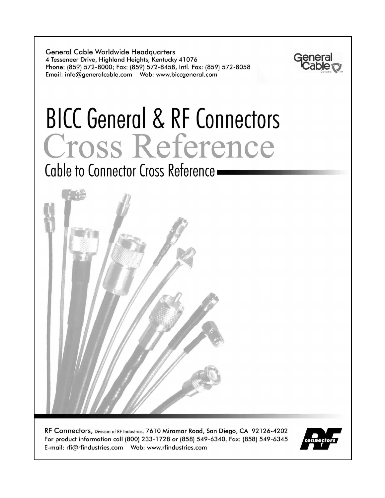**General Cable Worldwide Headquarters** 4 Tesseneer Drive, Highland Heights, Kentucky 41076 Phone: (859) 572-8000; Fax: (859) 572-8458, Intl. Fax: (859) 572-8058 



# **BICC General & RF Connectors** Cross Reference

Cable to Connector Cross Reference



RF Connectors, Division of RF Industries, 7610 Miramar Road, San Diego, CA 92126-4202 For product information call (800) 233-1728 or (858) 549-6340, Fax: (858) 549-6345 

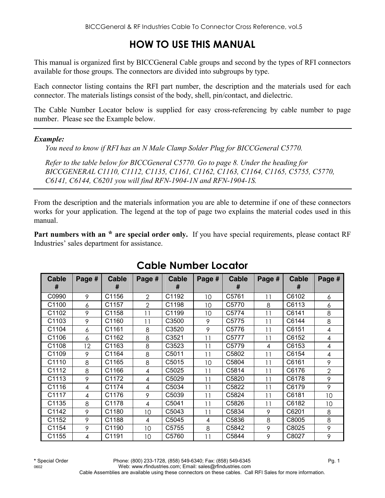## **HOW TO USE THIS MANUAL**

This manual is organized first by BICCGeneral Cable groups and second by the types of RFI connectors available for those groups. The connectors are divided into subgroups by type.

Each connector listing contains the RFI part number, the description and the materials used for each connector. The materials listings consist of the body, shell, pin/contact, and dielectric.

The Cable Number Locator below is supplied for easy cross-referencing by cable number to page number. Please see the Example below.

#### *Example:*

*You need to know if RFI has an N Male Clamp Solder Plug for BICCGeneral C5770.* 

*Refer to the table below for BICCGeneral C5770. Go to page 8. Under the heading for BICCGENERAL C1110, C1112, C1135, C1161, C1162, C1163, C1164, C1165, C5755, C5770, C6141, C6144, C6201 you will find RFN-1904-1N and RFN-1904-1S.* 

From the description and the materials information you are able to determine if one of these connectors works for your application. The legend at the top of page two explains the material codes used in this manual.

**Part numbers with an \* are special order only.** If you have special requirements, please contact RF Industries' sales department for assistance.

| <b>Cable</b><br># | Page # | <b>Cable</b><br># | Page #         | <b>Cable</b><br># | Page # | <b>Cable</b><br># | Page # | <b>Cable</b><br># | Page #         |
|-------------------|--------|-------------------|----------------|-------------------|--------|-------------------|--------|-------------------|----------------|
| C0990             | 9      | C1156             | $\overline{2}$ | C1192             | 10     | C5761             | 11     | C6102             | 6              |
| C1100             | 6      | C1157             | $\overline{2}$ | C1198             | 10     | C5770             | 8      | C6113             | 6              |
| C1102             | 9      | C1158             | 11             | C1199             | 10     | C5774             | 11     | C6141             | 8              |
| C1103             | 9      | C1160             | 11             | C3500             | 9      | C5775             | 11     | C6144             | 8              |
| C1104             | 6      | C1161             | 8              | C3520             | 9      | C5776             | 11     | C6151             | 4              |
| C1106             | 6      | C1162             | 8              | C3521             | 11     | C5777             | 11     | C6152             | 4              |
| C1108             | 12     | C1163             | 8              | C3523             | 11     | C5779             | 4      | C6153             | 4              |
| C1109             | 9      | C1164             | 8              | C5011             | 11     | C5802             | 11     | C6154             | 4              |
| C1110             | 8      | C1165             | 8              | C5015             | 10     | C5804             | 11     | C6161             | 9              |
| C1112             | 8      | C1166             | 4              | C5025             | 11     | C5814             | 11     | C6176             | $\overline{2}$ |
| C1113             | 9      | C1172             | 4              | C5029             | 11     | C5820             | 11     | C6178             | 9              |
| C1116             | 4      | C1174             | 4              | C5034             | 11     | C5822             | 11     | C6179             | 9              |
| C1117             | 4      | C1176             | 9              | C5039             | 11     | C5824             | 11     | C6181             | 10             |
| C1135             | 8      | C1178             | 4              | C5041             | 11     | C5826             | 11     | C6182             | 10             |
| C1142             | 9      | C1180             | 10             | C5043             | 11     | C5834             | 9      | C6201             | 8              |
| C1152             | 9      | C1188             | 4              | C5045             | 4      | C5836             | 8      | C8005             | 8              |
| C1154             | 9      | C1190             | 10             | C5755             | 8      | C5842             | 9      | C8025             | 9              |
| C1155             | 4      | C1191             | 10             | C5760             | 11     | C5844             | 9      | C8027             | 9              |

## **Cable Number Locator**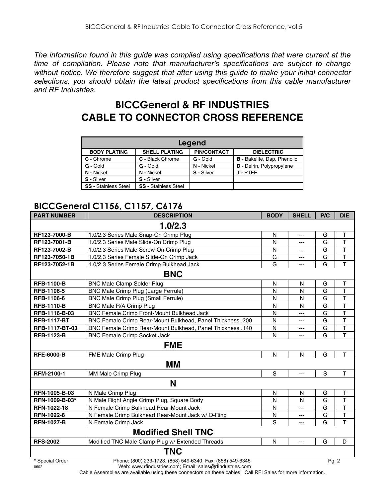*The information found in this guide was compiled using specifications that were current at the time of compilation. Please note that manufacturer's specifications are subject to change without notice. We therefore suggest that after using this guide to make your initial connector selections, you should obtain the latest product specifications from this cable manufacturer and RF Industries.* 

## **BICCGeneral & RF INDUSTRIES CABLE TO CONNECTOR CROSS REFERENCE**

|                             | Legend                      |                    |                                    |  |  |  |  |  |  |  |
|-----------------------------|-----------------------------|--------------------|------------------------------------|--|--|--|--|--|--|--|
| <b>BODY PLATING</b>         | <b>SHELL PLATING</b>        | <b>PIN/CONTACT</b> | <b>DIELECTRIC</b>                  |  |  |  |  |  |  |  |
| C - Chrome                  | C - Black Chrome            | G - Gold           | <b>B</b> - Bakelite, Dap, Phenolic |  |  |  |  |  |  |  |
| G - Gold                    | G - Gold                    | N - Nickel         | D - Delrin, Polypropylene          |  |  |  |  |  |  |  |
| N - Nickel                  | N - Nickel                  | S - Silver         | T-PTFE                             |  |  |  |  |  |  |  |
| S - Silver                  | S - Silver                  |                    |                                    |  |  |  |  |  |  |  |
| <b>SS - Stainless Steel</b> | <b>SS - Stainless Steel</b> |                    |                                    |  |  |  |  |  |  |  |

## **BICCGeneral C1156, C1157, C6176**

| <b>PART NUMBER</b>      | <b>DESCRIPTION</b>                                                                                                     | <b>BODY</b> | <b>SHELL</b>   | P/C   | <b>DIE</b>              |
|-------------------------|------------------------------------------------------------------------------------------------------------------------|-------------|----------------|-------|-------------------------|
|                         | 1.0/2.3                                                                                                                |             |                |       |                         |
| RF123-7000-B            | 1.0/2.3 Series Male Snap-On Crimp Plug                                                                                 | N           | $\overline{a}$ | G     | Τ                       |
| RF123-7001-B            | 1.0/2.3 Series Male Slide-On Crimp Plug                                                                                | N           | ---            | G     | $\overline{\mathsf{T}}$ |
| RF123-7002-B            | 1.0/2.3 Series Male Screw-On Crimp Plug                                                                                | N           | ---            | G     | $\mathsf{T}$            |
| RF123-7050-1B           | 1.0/2.3 Series Female Slide-On Crimp Jack                                                                              | G           | ---            | G     | $\mathsf T$             |
| RF123-7052-1B           | 1.0/2.3 Series Female Crimp Bulkhead Jack                                                                              | G           | ---            | G     | T                       |
|                         | <b>BNC</b>                                                                                                             |             |                |       |                         |
| <b>RFB-1100-B</b>       | <b>BNC Male Clamp Solder Plug</b>                                                                                      | N           | N              | G     | T                       |
| RFB-1106-5              | BNC Male Crimp Plug (Large Ferrule)                                                                                    | N           | N              | G     | T                       |
| RFB-1106-6              | BNC Male Crimp Plug (Small Ferrule)                                                                                    | N           | N              | G     | $\overline{\mathsf{T}}$ |
| <b>RFB-1110-B</b>       | BNC Male R/A Crimp Plug                                                                                                | N           | N              | G     | T                       |
| RFB-1116-B-03           | BNC Female Crimp Front-Mount Bulkhead Jack                                                                             | N           | ---            | G     | $\mathsf{T}$            |
| <b>RFB-1117-BT</b>      | BNC Female Crimp Rear-Mount Bulkhead, Panel Thickness .200                                                             | N           | ---            | G     | $\mathsf{T}$            |
| RFB-1117-BT-03          | BNC Female Crimp Rear-Mount Bulkhead, Panel Thickness .140                                                             | N           | ---            | G     | $\top$                  |
| <b>RFB-1123-B</b>       | <b>BNC Female Crimp Socket Jack</b>                                                                                    | N           | ---            | G     | $\overline{\mathsf{T}}$ |
|                         | <b>FME</b>                                                                                                             |             |                |       |                         |
| <b>RFE-6000-B</b>       | FME Male Crimp Plug                                                                                                    | N           | N              | G     | T                       |
|                         | MМ                                                                                                                     |             |                |       |                         |
| RFM-2100-1              | MM Male Crimp Plug                                                                                                     | $\mathbf S$ | ---            | S     | T                       |
|                         | N                                                                                                                      |             |                |       |                         |
| RFN-1005-B-03           | N Male Crimp Plug                                                                                                      | N           | N              | G     | T                       |
| RFN-1009-B-03*          | N Male Right Angle Crimp Plug, Square Body                                                                             | N           | N              | G     | T                       |
| RFN-1022-18             | N Female Crimp Bulkhead Rear-Mount Jack                                                                                | N           | ---            | G     | $\overline{\mathsf{T}}$ |
| <b>RFN-1022-8</b>       | N Female Crimp Bulkhead Rear-Mount Jack w/ O-Ring                                                                      | N           | ---            | G     | $\overline{\mathsf{T}}$ |
| <b>RFN-1027-B</b>       | N Female Crimp Jack                                                                                                    | S           | ---            | G     | $\overline{1}$          |
|                         | <b>Modified Shell TNC</b>                                                                                              |             |                |       |                         |
| <b>RFS-2002</b>         | Modified TNC Male Clamp Plug w/ Extended Threads                                                                       | N           | $---$          | G     | D                       |
|                         | <b>TNC</b>                                                                                                             |             |                |       |                         |
| * Special Order<br>0602 | Phone: (800) 233-1728, (858) 549-6340; Fax: (858) 549-6345<br>Web: www.rfindustries.com; Email: sales@rfindustries.com |             |                | Pg. 2 |                         |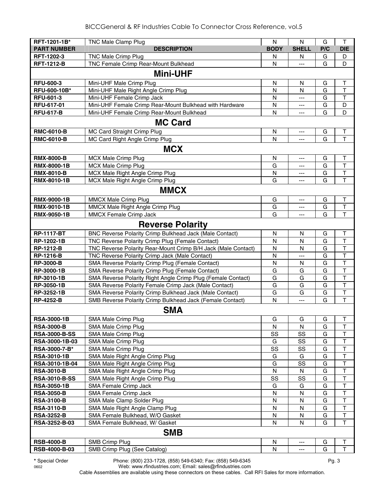| RFT-1201-1B*                         | TNC Male Clamp Plug                                                | N           | N            | G      | $\mathsf{T}$            |
|--------------------------------------|--------------------------------------------------------------------|-------------|--------------|--------|-------------------------|
| <b>PART NUMBER</b>                   | <b>DESCRIPTION</b>                                                 | <b>BODY</b> | <b>SHELL</b> | P/C    | <b>DIE</b>              |
| RFT-1202-3                           | <b>TNC Male Crimp Plug</b>                                         | N           | N            | G      | D                       |
| <b>RFT-1212-B</b>                    | TNC Female Crimp Rear-Mount Bulkhead                               | N           | ---          | G      | D                       |
|                                      | <b>Mini-UHF</b>                                                    |             |              |        |                         |
| <b>RFU-600-3</b>                     | Mini-UHF Male Crimp Plug                                           | N           | N            | G      | Т                       |
| RFU-600-10B*                         | Mini-UHF Male Right Angle Crimp Plug                               | N           | N            | G      | T                       |
| <b>RFU-601-3</b>                     | Mini-UHF Female Crimp Jack                                         | N           | ---          | G      | T                       |
| RFU-617-01                           | Mini-UHF Female Crimp Rear-Mount Bulkhead with Hardware            | N           | ---          | G      | D                       |
| <b>RFU-617-B</b>                     | Mini-UHF Female Crimp Rear-Mount Bulkhead                          | N           | ---          | G      | D                       |
|                                      | <b>MC Card</b>                                                     |             |              |        |                         |
| <b>RMC-6010-B</b>                    | MC Card Straight Crimp Plug                                        | N           | $---$        | G      | $\sf T$                 |
| <b>RMC-6010-B</b>                    | MC Card Right Angle Crimp Plug                                     | N           | ---          | G      | T                       |
|                                      | <b>MCX</b>                                                         |             |              |        |                         |
| <b>RMX-8000-B</b>                    | <b>MCX Male Crimp Plug</b>                                         | N           | ---          | G      | T                       |
| RMX-8000-1B                          | <b>MCX Male Crimp Plug</b>                                         | G           | $---$        | G      | T                       |
| <b>RMX-8010-B</b>                    | MCX Male Right Angle Crimp Plug                                    | N           | ---          | G      | $\top$                  |
| RMX-8010-1B                          | MCX Male Right Angle Crimp Plug                                    | G           |              | G      | T                       |
|                                      | <b>MMCX</b>                                                        |             |              |        |                         |
| RMX-9000-1B                          | <b>MMCX Male Crimp Plug</b>                                        | G           | ---          | G      | $\sf T$                 |
| RMX-9010-1B                          | MMCX Male Right Angle Crimp Plug                                   | G           | ---          | G      | $\top$                  |
| RMX-9050-1B                          | MMCX Female Crimp Jack                                             | G           |              | G      | T                       |
|                                      | <b>Reverse Polarity</b>                                            |             |              |        |                         |
| <b>RP-1117-BT</b>                    | BNC Reverse Polarity Crimp Bulkhead Jack (Male Contact)            | N           | N            | G      | T                       |
| RP-1202-1B                           | TNC Reverse Polarity Crimp Plug (Female Contact)                   | Ν           | N            | G      | T                       |
| <b>RP-1212-B</b>                     | TNC Reverse Polarity Rear-Mount Crimp B/H Jack (Male Contact)      | Ν           | $\mathsf{N}$ | G      | $\overline{\mathsf{T}}$ |
| <b>RP-1216-B</b>                     | TNC Reverse Polarity Crimp Jack (Male Contact)                     | N           | ---          | G      | $\overline{\mathsf{T}}$ |
| <b>RP-3000-B</b>                     | SMA Reverse Polarity Crimp Plug (Female Contact)                   | N           | N            | G      | $\overline{\mathsf{T}}$ |
| RP-3000-1B                           | SMA Reverse Polarity Crimp Plug (Female Contact)                   | G           | G            | G      | $\overline{\mathsf{T}}$ |
| RP-3010-1B                           | SMA Reverse Polarity Right Angle Crimp Plug (Female Contact)       | G           | G            | G      | $\overline{\mathsf{T}}$ |
| RP-3050-1B                           | SMA Reverse Polarity Female Crimp Jack (Male Contact)              | G           | G            | G      | T                       |
| RP-3252-1B                           | SMA Reverse Polarity Crimp Bulkhead Jack (Male Contact)            | G           | G            | G      | $\overline{\mathsf{T}}$ |
| <b>RP-4252-B</b>                     | SMB Reverse Polarity Crimp Bulkhead Jack (Female Contact)          | N           | ---          | G      | $\mathsf T$             |
|                                      | <b>SMA</b>                                                         |             |              |        |                         |
| <b>RSA-3000-1B</b>                   | SMA Male Crimp Plug                                                | G           | G            | G      | $\sf T$                 |
| <b>RSA-3000-B</b>                    | SMA Male Crimp Plug                                                | N           | N            | G      | T                       |
| <b>RSA-3000-B-SS</b>                 | SMA Male Crimp Plug                                                | SS          | SS           | G      | $\top$                  |
| RSA-3000-1B-03                       | SMA Male Crimp Plug                                                | G           | SS           | G      | T                       |
| RSA-3000-7-B*                        | SMA Male Crimp Plug                                                | SS          | SS           | G      | $\mathsf T$             |
| <b>RSA-3010-1B</b><br>RSA-3010-1B-04 | SMA Male Right Angle Crimp Plug<br>SMA Male Right Angle Crimp Plug | G<br>G      | G<br>SS      | G<br>G | T<br>$\sf T$            |
| <b>RSA-3010-B</b>                    | SMA Male Right Angle Crimp Plug                                    | N           | N            | G      | $\top$                  |
| <b>RSA-3010-B-SS</b>                 | SMA Male Right Angle Crimp Plug                                    | SS          | SS           | G      | $\top$                  |
| <b>RSA-3050-1B</b>                   | SMA Female Crimp Jack                                              | G           | G            | G      | $\top$                  |
| <b>RSA-3050-B</b>                    | SMA Female Crimp Jack                                              | N           | N            | G      | Т                       |
| <b>RSA-3100-B</b>                    | SMA Male Clamp Solder Plug                                         | N           | N            | G      | T                       |
| <b>RSA-3110-B</b>                    | SMA Male Right Angle Clamp Plug                                    | N           | N            | G      | $\sf T$                 |
| <b>RSA-3252-B</b>                    | SMA Female Bulkhead, W/O Gasket                                    | N           | N            | G      | $\sf T$                 |
| RSA-3252-B-03                        | SMA Female Bulkhead, W/ Gasket                                     | N           | N            | G      | $\top$                  |
|                                      | <b>SMB</b>                                                         |             |              |        |                         |
| <b>RSB-4000-B</b>                    | <b>SMB Crimp Plug</b>                                              | N           | ---          | G      | Τ                       |
| RSB-4000-B-03                        | SMB Crimp Plug (See Catalog)                                       | N           | ---          | G      | Τ                       |
|                                      |                                                                    |             |              |        |                         |

**\*** Special Order Phone: (800) 233-1728, (858) 549-6340; Fax: (858) 549-6345 Pg. 3

0602 Web: www.rfindustries.com; Email: sales@rfindustries.com Cable Assemblies are available using these connectors on these cables. Call RFI Sales for more information.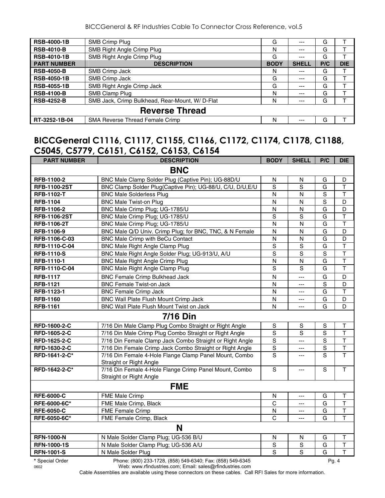BICCGeneral & RF Industries Cable To Connector Cross Reference, vol.5

| <b>RSB-4000-1B</b> | SMB Crimp Plug                                  | G           | $---$        | G   |            |
|--------------------|-------------------------------------------------|-------------|--------------|-----|------------|
| <b>RSB-4010-B</b>  | SMB Right Angle Crimp Plug                      | Ν           | $---$        | G   |            |
| <b>RSB-4010-1B</b> | SMB Right Angle Crimp Plug                      | G           | ---          | G   |            |
| <b>PART NUMBER</b> | <b>DESCRIPTION</b>                              | <b>BODY</b> | <b>SHELL</b> | P/C | <b>DIE</b> |
| <b>RSB-4050-B</b>  | SMB Crimp Jack                                  | N           | $--$         | G   |            |
| <b>RSB-4050-1B</b> | SMB Crimp Jack                                  | G           | ---          | G   |            |
| <b>RSB-4055-1B</b> | SMB Right Angle Crimp Jack                      | G           | $---$        | G   |            |
| <b>RSB-4100-B</b>  | SMB Clamp Plug                                  | N           | $---$        | G   |            |
| <b>RSB-4252-B</b>  | SMB Jack, Crimp Bulkhead, Rear-Mount, W/ D-Flat | N           | $--$         | G   |            |
|                    | <b>Reverse Thread</b>                           |             |              |     |            |
| RT-3252-1B-04      | SMA Reverse Thread Female Crimp                 | N           |              | G   |            |

#### **BICCGeneral C1116, C1117, C1155, C1166, C1172, C1174, C1178, C1188, C5045, C5779, C6151, C6152, C6153, C6154**

| <b>PART NUMBER</b>  | <b>DESCRIPTION</b>                                                                | <b>BODY</b>             | <b>SHELL</b>             | P/C            | <b>DIE</b>              |
|---------------------|-----------------------------------------------------------------------------------|-------------------------|--------------------------|----------------|-------------------------|
|                     | <b>BNC</b>                                                                        |                         |                          |                |                         |
| RFB-1100-2          | BNC Male Clamp Solder Plug (Captive Pin); UG-88D/U                                | N                       | N                        | G              | D                       |
| <b>RFB-1100-2ST</b> | BNC Clamp Solder Plug(Captive Pin); UG-88/U, C/U, D/U, E/U                        | S                       | $\overline{s}$           | G              | $\top$                  |
| <b>RFB-1102-T</b>   | <b>BNC Male Solderless Plug</b>                                                   | $\mathsf{N}$            | N                        | $\mathsf S$    | $\top$                  |
| <b>RFB-1104</b>     | <b>BNC Male Twist-on Plug</b>                                                     | N                       | N                        | S              | D                       |
| RFB-1106-2          | BNC Male Crimp Plug; UG-1785/U                                                    | N                       | N                        | $\overline{G}$ | D                       |
| <b>RFB-1106-2ST</b> | BNC Male Crimp Plug; UG-1785/U                                                    | S                       | S                        | G              | $\overline{\mathsf{T}}$ |
| <b>RFB-1106-2T</b>  | BNC Male Crimp Plug; UG-1785/U                                                    | N                       | N                        | G              | $\overline{\mathsf{T}}$ |
| RFB-1106-9          | BNC Male Q/D Univ. Crimp Plug; for BNC, TNC, & N Female                           | $\mathsf{N}$            | N                        | G              | D                       |
| RFB-1106-C-03       | BNC Male Crimp with BeCu Contact                                                  | N                       | N                        | G              | D                       |
| RFB-1110-C-04       | <b>BNC Male Right Angle Clamp Plug</b>                                            | $\overline{s}$          | $\overline{s}$           | $\overline{G}$ | $\overline{\mathsf{T}}$ |
| <b>RFB-1110-S</b>   | BNC Male Right Angle Solder Plug; UG-913/U, A/U                                   | S                       | $\overline{s}$           | $\overline{s}$ | $\overline{\mathsf{T}}$ |
| RFB-1110-1          | <b>BNC Male Right Angle Crimp Plug</b>                                            | $\overline{\mathsf{N}}$ | N                        | G              | $\overline{\mathsf{T}}$ |
| RFB-1110-C-04       | BNC Male Right Angle Clamp Plug                                                   | $\mathbf S$             | $\mathbf S$              | G              | $\top$                  |
| <b>RFB-1117</b>     | <b>BNC Female Crimp Bulkhead Jack</b>                                             | N                       | $---$                    | G              | D                       |
| <b>RFB-1121</b>     | <b>BNC Female Twist-on Jack</b>                                                   | N                       | ---                      | S              | D                       |
| RFB-1123-1          | <b>BNC Female Crimp Jack</b>                                                      | N                       | ---                      | G              | $\top$                  |
| <b>RFB-1160</b>     | BNC Wall Plate Flush Mount Crimp Jack                                             | N                       | ---                      | G              | D                       |
| <b>RFB-1161</b>     | BNC Wall Plate Flush Mount Twist on Jack                                          | N                       | $\overline{a}$           | G              | D                       |
|                     | <b>7/16 Din</b>                                                                   |                         |                          |                |                         |
| RFD-1600-2-C        | 7/16 Din Male Clamp Plug Combo Straight or Right Angle                            | $\mathbf S$             | $\mathbf S$              | S              | T                       |
| RFD-1605-2-C        | 7/16 Din Male Crimp Plug Combo Straight or Right Angle                            | $\mathbf S$             | S                        | S              | $\top$                  |
| RFD-1625-2-C        | 7/16 Din Female Clamp Jack Combo Straight or Right Angle                          | $\mathbf S$             | $\overline{a}$           | $\overline{s}$ | $\overline{\mathsf{T}}$ |
| <b>RFD-1630-2-C</b> | 7/16 Din Female Crimp Jack Combo Straight or Right Angle                          | $\overline{s}$          | $\overline{a}$           | $\overline{s}$ | $\overline{\mathsf{T}}$ |
| RFD-1641-2-C*       | 7/16 Din Female 4-Hole Flange Clamp Panel Mount, Combo<br>Straight or Right Angle | S                       | $\qquad \qquad - -$      | S              | $\mathsf{T}$            |
| RFD-1642-2-C*       | 7/16 Din Female 4-Hole Flange Crimp Panel Mount, Combo<br>Straight or Right Angle | $\mathbf S$             | $---$                    | $\mathbf S$    | $\mathsf T$             |
|                     | <b>FME</b>                                                                        |                         |                          |                |                         |
| <b>RFE-6000-C</b>   | FME Male Crimp                                                                    | N                       | $\overline{\phantom{a}}$ | G              | T                       |
| <b>RFE-6000-6C*</b> | FME Male Crimp, Black                                                             | C                       | $\overline{a}$           | G              | $\overline{\mathsf{T}}$ |
| <b>RFE-6050-C</b>   | FME Female Crimp                                                                  | $\overline{\mathsf{N}}$ | ---                      | G              | $\mathsf T$             |
| RFE-6050-6C*        | FME Female Crimp, Black                                                           | $\mathsf{C}$            |                          | G              | T                       |
|                     | N                                                                                 |                         |                          |                |                         |
| <b>RFN-1000-N</b>   | N Male Solder Clamp Plug; UG-536 B/U                                              | $\mathsf{N}$            | $\mathsf{N}$             | G              | $\mathsf T$             |
| <b>RFN-1000-1S</b>  | N Male Solder Clamp Plug; UG-536 A/U                                              | S                       | S                        | G              | $\top$                  |
| <b>RFN-1001-S</b>   | N Male Solder Plug                                                                | S                       | $\overline{s}$           | G              | $\mathsf{T}$            |
| * Special Order     | Phone: (800) 233-1728, (858) 549-6340; Fax: (858) 549-6345                        |                         |                          |                | Pg. 4                   |

0602 Web: www.rfindustries.com; Email: sales@rfindustries.com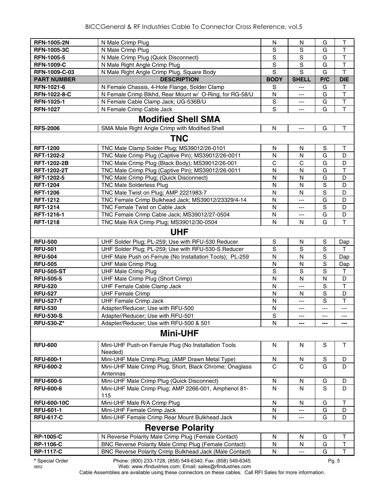| <b>RFN-1005-2N</b>      | N Male Crimp Plug                                                                                                      | N              | N            | G           | T                       |
|-------------------------|------------------------------------------------------------------------------------------------------------------------|----------------|--------------|-------------|-------------------------|
| <b>RFN-1005-3C</b>      | N Male Crimp Plug                                                                                                      | $\mathbf S$    | S            | G           | $\top$                  |
| <b>RFN-1005-5</b>       | N Male Crimp Plug (Quick Disconnect)                                                                                   | $\overline{s}$ | S            | G           | $\overline{\mathsf{T}}$ |
| <b>RFN-1009-C</b>       | N Male Right Angle Crimp Plug                                                                                          | $\overline{s}$ | $\mathbf S$  | G           | $\overline{\mathsf{T}}$ |
| RFN-1009-C-03           | N Male Right Angle Crimp Plug, Square Body                                                                             | $\overline{s}$ | $\mathbf S$  | G           | $\overline{\mathsf{T}}$ |
| <b>PART NUMBER</b>      | <b>DESCRIPTION</b>                                                                                                     | <b>BODY</b>    | <b>SHELL</b> | P/C         | <b>DIE</b>              |
| RFN-1021-6              | N Female Chassis, 4-Hole Flange, Solder Clamp                                                                          | S              | ---          | G           | т                       |
| RFN-1022-8-C            | N Female Crimp Blkhd, Rear Mount w/ O-Ring, for RG-58/U                                                                | N              | ---          | G           | $\mathsf T$             |
| RFN-1025-1              | N Female Cable Clamp Jack; UG-536B/U                                                                                   | S              | ---          | G           | $\overline{\mathsf{T}}$ |
| <b>RFN-1027</b>         | N Female Crimp Cable Jack                                                                                              | S              | ---          | G           | $\overline{\mathsf{T}}$ |
|                         | <b>Modified Shell SMA</b>                                                                                              |                |              |             |                         |
| <b>RFS-2006</b>         | SMA Male Right Angle Crimp with Modified Shell                                                                         | N              | ---          | G           | $\top$                  |
|                         | <b>TNC</b>                                                                                                             |                |              |             |                         |
| <b>RFT-1200</b>         | TNC Male Clamp Solder Plug; MS39012/26-0101                                                                            | N              | N            | S           | Τ                       |
| RFT-1202-2              | TNC Male Crimp Plug (Captive Pin); MS39012/26-0011                                                                     | N              | N            | G           | D                       |
| <b>RFT-1202-2B</b>      | TNC Male Crimp Plug (Black Body); MS39012/26-001                                                                       | C              | С            | G           | D                       |
| <b>RFT-1202-2T</b>      | TNC Male Crimp Plug (Captive Pin); MS39012/26-0011                                                                     | N              | N            | G           | $\mathsf{T}$            |
| <b>RFT-1202-5</b>       | TNC Male Crimp Plug; (Quick Disconnect)                                                                                | N              | N            | G           | D                       |
| <b>RFT-1204</b>         | <b>TNC Male Solderless Plug</b>                                                                                        | ${\sf N}$      | N            | $\mathbf S$ | D                       |
| <b>RFT-1206</b>         | TNC Male Twist on Plug; AMP 2221983-7                                                                                  | N              | $\mathsf{N}$ | S           | D                       |
| <b>RFT-1212</b>         | TNC Female Crimp Bulkhead Jack; MS39012/23329/4-14                                                                     | N              | ---          | G           | D                       |
| <b>RFT-1214</b>         | TNC Female Twist on Cable Jack                                                                                         | N              | ---          | S           | D                       |
| RFT-1216-1              | TNC Female Crimp Cable Jack; MS39012/27-0504                                                                           | N              | ---          | G           | D                       |
| <b>RFT-1218</b>         | TNC Male R/A Crimp Plug; MS39012/30-0504                                                                               | N              | N            | G           | $\overline{1}$          |
|                         | <b>UHF</b>                                                                                                             |                |              |             |                         |
| <b>RFU-500</b>          | UHF Solder Plug; PL-259; Use with RFU-530 Reducer                                                                      | $\mathbb S$    | N            | S           | Dap                     |
| <b>RFU-501</b>          | UHF Solder Plug; PL-259; Use with RFU-530-S Reducer                                                                    | S              | S            | S           | т                       |
| <b>RFU-504</b>          | UHF Male Push on Ferrule (No Installation Tools); PL-259                                                               | N              | N            | S           | Dap                     |
| <b>RFU-505</b>          | <b>UHF Male Crimp Plug</b>                                                                                             | N              | N            | S           | Dap                     |
| <b>RFU-505-ST</b>       | <b>UHF Male Crimp Plug</b>                                                                                             | $\mathbf S$    | $\mathbf S$  | S           | $\mathsf{T}$            |
| <b>RFU-505-5</b>        | UHF Male Crimp Plug (Short Crimp)                                                                                      | N              | N            | N           | D                       |
| <b>RFU-520</b>          | UHF Female Cable Clamp Jack                                                                                            | N              | ---          | S           | $\top$                  |
| <b>RFU-527</b>          | <b>UHF Female Crimp</b>                                                                                                | N              | N            | S           | D                       |
| <b>RFU-527-T</b>        | <b>UHF Female Crimp Jack</b>                                                                                           | N              | ---          | S           | $\mathsf{T}$            |
| <b>RFU-530</b>          | Adapter/Reducer; Use with RFU-500                                                                                      | N              | ---          | ---         | ---                     |
| <b>RFU-530-S</b>        | Adapter/Reducer; Use with RFU-501                                                                                      | $\mathbf S$    | ---          | ---         | ---                     |
| <b>RFU-530-Z*</b>       | Adapter/Reducer; Use with RFU-500 & 501                                                                                | N              | ---          | ---         | ---                     |
|                         | <b>Mini-UHF</b>                                                                                                        |                |              |             |                         |
| <b>RFU-600</b>          | Mini-UHF Push-on Ferrule Plug (No Installation Tools<br>Needed)                                                        | N              | N            | S           | $\mathsf{T}$            |
| <b>RFU-600-1</b>        | Mini-UHF Male Crimp Plug; (AMP Drawn Metal Type)                                                                       | N              | N            | S           | D                       |
| <b>RFU-600-2</b>        | Mini-UHF Male Crimp Plug, Short, Black Chrome; Onaglass<br>Antennas                                                    | C              | C            | G           | D                       |
| <b>RFU-600-5</b>        | Mini-UHF Male Crimp Plug (Quick Disconnect)                                                                            | N              | N            | G           | D                       |
| <b>RFU-600-6</b>        | Mini-UHF Male Crimp Plug; AMP 2266-001, Amphenol 81-<br>115                                                            | N              | N            | S           | D                       |
| <b>RFU-600-10C</b>      | Mini-UHF Male R/A Crimp Plug                                                                                           | N              | N            | G           | $\mathsf T$             |
| <b>RFU-601-1</b>        | Mini-UHF Female Crimp Jack                                                                                             | N              | ---          | G           | D                       |
| <b>RFU-617-C</b>        | Mini-UHF Female Crimp Rear Mount Bulkhead Jack                                                                         | N              | ---          | G           | D                       |
|                         | <b>Reverse Polarity</b>                                                                                                |                |              |             |                         |
| <b>RP-1005-C</b>        | N Reverse Polarity Male Crimp Plug (Female Contact)                                                                    | N              | $\mathsf{N}$ | G           | $\top$                  |
| <b>RP-1106-C</b>        | BNC Reverse Polarity Male Crimp Plug (Female Contact)                                                                  | N              | N            | G           | $\top$                  |
| <b>RP-1117-C</b>        | BNC Reverse Polarity Crimp Bulkhead Jack (Male Contact)                                                                | N              | ---          | G           | $\mathsf{T}$            |
| * Special Order<br>0602 | Phone: (800) 233-1728, (858) 549-6340; Fax: (858) 549-6345<br>Web: www.rfindustries.com; Email: sales@rfindustries.com |                |              | Pg. 5       |                         |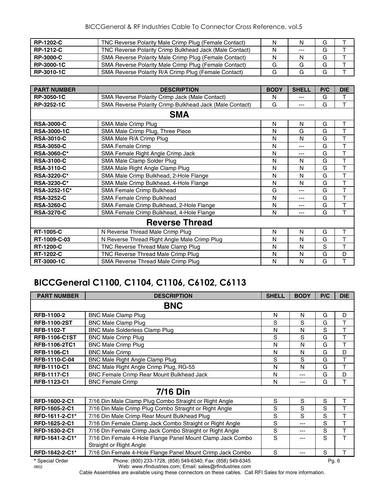| <b>RP-1202-C</b> | TNC Reverse Polarity Male Crimp Plug (Female Contact)   | N | N     | G |  |
|------------------|---------------------------------------------------------|---|-------|---|--|
| <b>RP-1212-C</b> | TNC Reverse Polarity Crimp Bulkhead Jack (Male Contact) | N | $---$ | G |  |
| <b>RP-3000-C</b> | SMA Reverse Polarity Male Crimp Plug (Female Contact)   | N | N     | G |  |
| RP-3000-1C       | SMA Reverse Polarity Male Crimp Plug (Female Contact)   |   |       | G |  |
| RP-3010-1C       | SMA Reverse Polarity R/A Crimp Plug (Female Contact)    |   |       | G |  |

| <b>PART NUMBER</b>  | <b>DESCRIPTION</b>                                      | <b>BODY</b> | <b>SHELL</b> | P/C | <b>DIE</b> |
|---------------------|---------------------------------------------------------|-------------|--------------|-----|------------|
| RP-3050-1C          | <b>SMA Reverse Polarity Crimp Jack (Male Contact)</b>   | N           | ---          | G   | т          |
| RP-3252-1C          | SMA Reverse Polarity Crimp Bulkhead Jack (Male Contact) | G           | ---          | G   | T          |
|                     | <b>SMA</b>                                              |             |              |     |            |
| <b>RSA-3000-C</b>   | SMA Male Crimp Plug                                     | N           | N            | G   | T          |
| <b>RSA-3000-1C</b>  | SMA Male Crimp Plug, Three Piece                        | N           | G            | G   | T          |
| <b>RSA-3010-C</b>   | SMA Male R/A Crimp Plug                                 | N           | N            | G   | т          |
| <b>RSA-3050-C</b>   | <b>SMA Female Crimp</b>                                 | N           | ---          | G   | т          |
| RSA-3060-C*         | SMA Female Right Angle Crimp Jack                       | N           | ---          | G   | T          |
| <b>RSA-3100-C</b>   | SMA Male Clamp Solder Plug                              | N           | N            | G   | T          |
| <b>RSA-3110-C</b>   | SMA Male Right Angle Clamp Plug                         | N           | N            | G   | T          |
| <b>RSA-3220-C*</b>  | SMA Male Crimp Bulkhead, 2-Hole Flange                  | N           | N            | G   | T          |
| <b>RSA-3230-C*</b>  | SMA Male Crimp Bulkhead, 4-Hole Flange                  | N           | N            | G   | T          |
| <b>RSA-3252-1C*</b> | SMA Female Crimp Bulkhead                               | G           | ---          | G   | T          |
| <b>RSA-3252-C</b>   | SMA Female Crimp Bulkhead                               | N           | ---          | G   | T          |
| <b>RSA-3260-C</b>   | SMA Female Crimp Bulkhead, 2-Hole Flange                | N           | ---          | G   | T          |
| <b>RSA-3270-C</b>   | SMA Female Crimp Bulkhead, 4-Hole Flange                | N           | ---          | G   | т          |
|                     | <b>Reverse Thread</b>                                   |             |              |     |            |
| <b>RT-1005-C</b>    | N Reverse Thread Male Crimp Plug                        | N           | N            | G   | т          |
| RT-1009-C-03        | N Reverse Thread Right Angle Male Crimp Plug            | N           | N            | G   | T          |
| <b>RT-1200-C</b>    | TNC Reverse Thread Male Clamp Plug                      | N           | N            | S   | T          |
| <b>RT-1202-C</b>    | TNC Reverse Thread Male Crimp Plug                      | N           | N            | G   | D          |
| RT-3000-1C          | SMA Reverse Thread Male Crimp Plug                      | N           | N            | G   | т          |

# **BICCGeneral C1100, C1104, C1106, C6102, C6113**

| <b>PART NUMBER</b>   | <b>DESCRIPTION</b>                                                                    | <b>SHELL</b> | <b>BODY</b> | P/C         | <b>DIE</b> |
|----------------------|---------------------------------------------------------------------------------------|--------------|-------------|-------------|------------|
|                      | <b>BNC</b>                                                                            |              |             |             |            |
| <b>RFB-1100-2</b>    | <b>BNC Male Clamp Plug</b>                                                            | N            | N           | G           | D          |
| <b>RFB-1100-2ST</b>  | <b>BNC Male Clamp Plug</b>                                                            | S            | S           | G           | T          |
| <b>RFB-1102-T</b>    | <b>BNC Male Solderless Clamp Plug</b>                                                 | N            | N           | S           | T          |
| <b>RFB-1106-C1ST</b> | <b>BNC Male Crimp Plug</b>                                                            | S            | S           | G           | T          |
| <b>RFB-1106-2TC1</b> | <b>BNC Male Crimp Plug</b>                                                            | N            | N           | G           | T          |
| <b>RFB-1106-C1</b>   | <b>BNC Male Crimp</b>                                                                 | N            | N           | G           | D          |
| RFB-1110-C-04        | BNC Male Right Angle Clamp Plug                                                       | S            | S           | G           | T          |
| <b>RFB-1110-C1</b>   | BNC Male Right Angle Crimp Plug, RG-55                                                | N            | N           | G           | T          |
| <b>RFB-1117-C1</b>   | BNC Female Crimp Rear Mount Bulkhead Jack                                             | N            | ---         | G           | D          |
| RFB-1123-C1          | <b>BNC Female Crimp</b>                                                               | N            | ---         | G           | T          |
|                      | <b>7/16 Din</b>                                                                       |              |             |             |            |
| RFD-1600-2-C1        | 7/16 Din Male Clamp Plug Combo Straight or Right Angle                                | S            | S           | S           | T          |
| RFD-1605-2-C1        | 7/16 Din Male Crimp Plug Combo Straight or Right Angle                                | S            | S           | S           | T          |
| RFD-1611-2-C1*       | 7/16 Din Male Crimp Rear Mount Bulkhead Plug                                          | S            | S           | S           | T          |
| RFD-1625-2-C1        | 7/16 Din Female Clamp Jack Combo Straight or Right Angle                              | S            | ---         | S           | T          |
| RFD-1630-2-C1        | 7/16 Din Female Crimp Jack Combo Straight or Right Angle                              | S            | ---         | S           | T          |
| RFD-1641-2-C1*       | 7/16 Din Female 4-Hole Flange Panel Mount Clamp Jack Combo<br>Straight or Right Angle | S            |             | S           | Τ          |
| RFD-1642-2-C1*       | 7/16 Din Female 4-Hole Flange Panel Mount Crimp Jack Combo                            | S            | ---         | $\mathbf S$ | Τ          |
| * Special Order      | Phone: (800) 233-1728, (858) 549-6340; Fax: (858) 549-6345                            |              |             | Pg. 6       |            |

0602 Web: www.rfindustries.com; Email: sales@rfindustries.com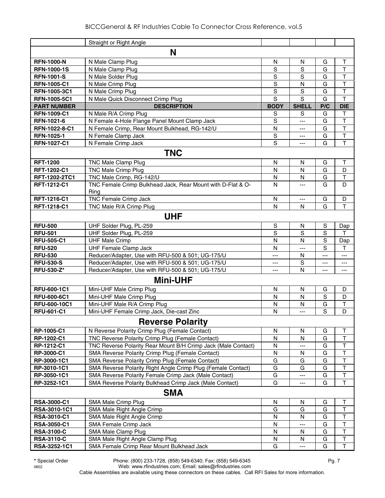|                    | Straight or Right Angle                                       |               |                |     |                         |
|--------------------|---------------------------------------------------------------|---------------|----------------|-----|-------------------------|
|                    | N                                                             |               |                |     |                         |
| <b>RFN-1000-N</b>  | N Male Clamp Plug                                             | ${\sf N}$     | N              | G   | T                       |
| <b>RFN-1000-1S</b> | N Male Clamp Plug                                             | S             | S              | G   | T                       |
| <b>RFN-1001-S</b>  | N Male Solder Plug                                            | S             | S              | G   | T                       |
| <b>RFN-1005-C1</b> | N Male Crimp Plug                                             | S             | N              | G   | T                       |
| RFN-1005-3C1       | N Male Crimp Plug                                             | S             | S              | G   | T                       |
| RFN-1005-5C1       | N Male Quick Disconnect Crimp Plug                            | S             | S              | G   | T                       |
| <b>PART NUMBER</b> | <b>DESCRIPTION</b>                                            | <b>BODY</b>   | <b>SHELL</b>   | P/C | <b>DIE</b>              |
| <b>RFN-1009-C1</b> | N Male R/A Crimp Plug                                         | S             | S              | G   | T                       |
| <b>RFN-1021-6</b>  | N Female 4-Hole Flange Panel Mount Clamp Jack                 | S             | ---            | G   | $\mathsf T$             |
| RFN-1022-8-C1      | N Female Crimp, Rear Mount Bulkhead, RG-142/U                 | $\mathsf{N}$  | ---            | G   | $\mathsf T$             |
| RFN-1025-1         | N Female Clamp Jack                                           | ${\mathsf S}$ | ---            | G   | $\overline{\mathsf{T}}$ |
| <b>RFN-1027-C1</b> | N Female Crimp Jack                                           | S             | ---            | G   | T                       |
|                    | <b>TNC</b>                                                    |               |                |     |                         |
| <b>RFT-1200</b>    | <b>TNC Male Clamp Plug</b>                                    | N             | N              | G   | $\mathsf{T}$            |
| RFT-1202-C1        | <b>TNC Male Crimp Plug</b>                                    | N             | N              | G   | D                       |
| RFT-1202-2TC1      | TNC Male Crimp, RG-142/U                                      | N             | $\mathsf{N}$   | G   | T                       |
| RFT-1212-C1        | TNC Female Crimp Bulkhead Jack, Rear Mount with D-Flat & O-   | N             | ---            | G   | D                       |
|                    | Ring                                                          |               |                |     |                         |
| <b>RFT-1216-C1</b> | <b>TNC Female Crimp Jack</b>                                  | N             | ---            | G   | D                       |
| RFT-1218-C1        | TNC Male R/A Crimp Plug                                       | N             | N              | G   | T                       |
|                    | <b>UHF</b>                                                    |               |                |     |                         |
| <b>RFU-500</b>     | UHF Solder Plug, PL-259                                       | $\mathbb S$   | N              | S   | Dap                     |
| <b>RFU-501</b>     | UHF Solder Plug, PL-259                                       | S             | S              | S   | т                       |
| <b>RFU-505-C1</b>  | <b>UHF Male Crimp</b>                                         | $\mathsf{N}$  | N              | S   | Dap                     |
| <b>RFU-520</b>     | <b>UHF Female Clamp Jack</b>                                  | N             | $\overline{a}$ | S   | т                       |
| <b>RFU-530</b>     | Reducer/Adapter, Use with RFU-500 & 501; UG-175/U             | ---           | N              | --- | ---                     |
| <b>RFU-530-S</b>   | Reducer/Adapter, Use with RFU-500 & 501; UG-175/U             | ---           | S              | --- | ---                     |
| <b>RFU-530-Z*</b>  | Reducer/Adapter, Use with RFU-500 & 501; UG-175/U             | ---           | N              | --- | ---                     |
|                    | <b>Mini-UHF</b>                                               |               |                |     |                         |
| RFU-600-1C1        | Mini-UHF Male Crimp Plug                                      | N             | N              | G   | D                       |
| <b>RFU-600-6C1</b> | Mini-UHF Male Crimp Plug                                      | N             | N              | S   | D                       |
| RFU-600-10C1       | Mini-UHF Male R/A Crimp Plug                                  | $\mathsf{N}$  | N              | G   | T                       |
| <b>RFU-601-C1</b>  | Mini-UHF Female Crimp Jack, Die-cast Zinc                     | N             | ---            | S   | D                       |
|                    | <b>Reverse Polarity</b>                                       |               |                |     |                         |
| RP-1005-C1         | N Reverse Polarity Crimp Plug (Female Contact)                | N             | N              | G   | Τ                       |
| RP-1202-C1         | <b>TNC Reverse Polarity Crimp Plug (Female Contact)</b>       | N             | N              | G   | Τ                       |
| RP-1212-C1         | TNC Reverse Polarity Rear Mount B/H Crimp Jack (Male Contact) | N             |                | G   | $\overline{\mathsf{T}}$ |
| RP-3000-C1         | SMA Reverse Polarity Crimp Plug (Female Contact)              | ${\sf N}$     | N              | G   | $\overline{\mathsf{T}}$ |
| RP-3000-1C1        | SMA Reverse Polarity Crimp Plug (Female Contact)              | G             | G              | G   | T                       |
| RP-3010-1C1        | SMA Reverse Polarity Right Angle Crimp Plug (Female Contact)  | G             | G              | G   | $\overline{\mathsf{T}}$ |
| RP-3050-1C1        | SMA Reverse Polarity Female Crimp Jack (Male Contact)         | G             | ---            | G   | $\overline{\mathsf{T}}$ |
| RP-3252-1C1        | SMA Reverse Polarity Bulkhead Crimp Jack (Male Contact)       | G             |                | G   | T                       |
|                    | <b>SMA</b>                                                    |               |                |     |                         |
| <b>RSA-3000-C1</b> | SMA Male Crimp Plug                                           | N             | N              | G   | Τ                       |
| RSA-3010-1C1       | SMA Male Right Angle Crimp                                    | G             | G              | G   | $\top$                  |
| <b>RSA-3010-C1</b> | SMA Male Right Angle Crimp                                    | N             | N              | G   | $\overline{\mathsf{T}}$ |
| <b>RSA-3050-C1</b> | SMA Female Crimp Jack                                         | N             |                | G   | $\sf T$                 |
| <b>RSA-3100-C</b>  | SMA Male Clamp Plug                                           | N             | N              | G   | $\overline{\mathsf{T}}$ |
| <b>RSA-3110-C</b>  | SMA Male Right Angle Clamp Plug                               | N             | N              | G   | $\sf T$                 |
| RSA-3252-1C1       | SMA Female Crimp Rear Mount Bulkhead Jack                     | G             | ---            | G   | $\top$                  |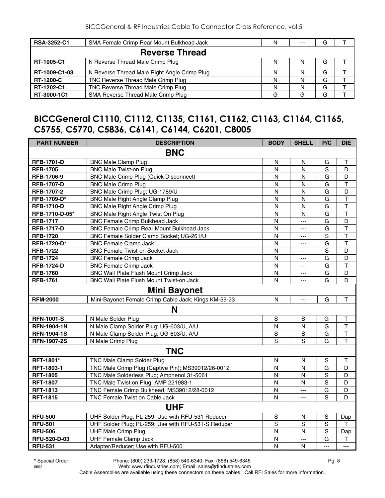| <b>RSA-3252-C1</b> | SMA Female Crimp Rear Mount Bulkhead Jack    | N | $- - -$ | G |  |
|--------------------|----------------------------------------------|---|---------|---|--|
|                    | <b>Reverse Thread</b>                        |   |         |   |  |
| RT-1005-C1         | N Reverse Thread Male Crimp Plug             | N |         | G |  |
| RT-1009-C1-03      | N Reverse Thread Male Right Angle Crimp Plug | N |         | G |  |
| <b>RT-1200-C</b>   | TNC Reverse Thread Male Crimp Plug           | N |         | G |  |
| RT-1202-C1         | TNC Reverse Thread Male Crimp Plug           | N |         | G |  |
| RT-3000-1C1        | SMA Reverse Thread Male Crimp Plug           | G |         | G |  |

#### **BICCGeneral C1110, C1112, C1135, C1161, C1162, C1163, C1164, C1165, C5755, C5770, C5836, C6141, C6144, C6201, C8005**

| <b>PART NUMBER</b> | <b>DESCRIPTION</b>                                   | <b>BODY</b>             | <b>SHELL</b>   | P/C            | <b>DIE</b>              |
|--------------------|------------------------------------------------------|-------------------------|----------------|----------------|-------------------------|
|                    | <b>BNC</b>                                           |                         |                |                |                         |
| <b>RFB-1701-D</b>  | <b>BNC Male Clamp Plug</b>                           | N                       | N              | G              | т                       |
| <b>RFB-1705</b>    | <b>BNC Male Twist-on Plug</b>                        | $\mathsf{N}$            | $\mathsf{N}$   | $\mathbf S$    | D                       |
| RFB-1706-9         | <b>BNC Male Crimp Plug (Quick Disconnect)</b>        | ${\sf N}$               | N              | G              | D                       |
| <b>RFB-1707-D</b>  | <b>BNC Male Crimp Plug</b>                           | N                       | N              | G              | $\overline{\mathsf{T}}$ |
| RFB-1707-2         | BNC Male Crimp Plug; UG-1789/U                       | N                       | N              | G              | D                       |
| RFB-1709-D*        | <b>BNC Male Right Angle Clamp Plug</b>               | $\mathsf{N}$            | N              | G              | $\mathsf T$             |
| <b>RFB-1710-D</b>  | <b>BNC Male Right Angle Crimp Plug</b>               | $\mathsf{N}$            | $\mathsf{N}$   | G              | $\overline{\mathsf{T}}$ |
| RFB-1710-D-05*     | BNC Male Right Angle Twist On Plug                   | N                       | N              | G              | $\mathsf T$             |
| <b>RFB-1717</b>    | <b>BNC Female Crimp Bulkhead Jack</b>                | $\mathsf{N}$            | $\overline{a}$ | G              | D                       |
| <b>RFB-1717-D</b>  | BNC Female Crimp Rear Mount Bulkhead Jack            | $\mathsf{N}$            | $\overline{a}$ | G              | $\overline{\mathsf{T}}$ |
| <b>RFB-1720</b>    | BNC Female Solder Clamp Socket; UG-261/U             | $\mathsf{N}$            | ---            | $\mathbf S$    | $\mathsf T$             |
| RFB-1720-D*        | <b>BNC Female Clamp Jack</b>                         | $\mathsf{N}$            | ---            | G              | $\mathsf T$             |
| <b>RFB-1722</b>    | <b>BNC Female Twist-on Socket Jack</b>               | $\mathsf{N}$            | ---            | $\mathbf S$    | D                       |
| <b>RFB-1724</b>    | <b>BNC Female Crimp Jack</b>                         | $\overline{N}$          | ---            | G              | D                       |
| <b>RFB-1724-D</b>  | <b>BNC Female Crimp Jack</b>                         | N                       | ---            | G              | $\mathsf T$             |
| <b>RFB-1760</b>    | BNC Wall Plate Flush Mount Crimp Jack                | ${\sf N}$               | ---            | G              | D                       |
| <b>RFB-1761</b>    | BNC Wall Plate Flush Mount Twist-on Jack             | $\mathsf{N}$            | $\overline{a}$ | G              | D                       |
|                    | <b>Mini Bayonet</b>                                  |                         |                |                |                         |
| <b>RFM-2000</b>    | Mini-Bayonet Female Crimp Cable Jack; Kings KM-59-23 | $\mathsf{N}$            | $\overline{a}$ | G              | $\mathsf T$             |
|                    | N                                                    |                         |                |                |                         |
| <b>RFN-1001-S</b>  | N Male Solder Plug                                   | S                       | $\mathbb S$    | G              | Τ                       |
| <b>RFN-1904-1N</b> | N Male Clamp Solder Plug; UG-603/U, A/U              | $\mathsf{N}$            | N              | G              | $\top$                  |
| <b>RFN-1904-1S</b> | N Male Clamp Solder Plug; UG-603/U, A/U              | S                       | $\overline{s}$ | G              | $\overline{\mathsf{T}}$ |
| <b>RFN-1907-2S</b> | N Male Crimp Plug                                    | $\overline{s}$          | $\overline{s}$ | G              | $\overline{\mathsf{T}}$ |
|                    | <b>TNC</b>                                           |                         |                |                |                         |
| RFT-1801*          | TNC Male Clamp Solder Plug                           | N                       | N              | S              | т                       |
| RFT-1803-1         | TNC Male Crimp Plug (Captive Pin); MS39012/26-0012   | $\mathsf{N}$            | N              | $\overline{G}$ | D                       |
| <b>RFT-1805</b>    | TNC Male Solderless Plug; Amphenol 31-5061           | $\overline{N}$          | N              | S              | D                       |
| <b>RFT-1807</b>    | TNC Male Twist on Plug; AMP 221983-1                 | $\overline{\mathsf{N}}$ | N              | $\mathbf S$    | D                       |
| <b>RFT-1813</b>    | TNC Female Crimp Bulkhead; MS39012/28-0012           | $\mathsf{N}$            | $\overline{a}$ | G              | D                       |
| <b>RFT-1815</b>    | TNC Female Twist on Cable Jack                       | N                       | $\overline{a}$ | S              | D                       |
|                    | <b>UHF</b>                                           |                         |                |                |                         |
| <b>RFU-500</b>     | UHF Solder Plug; PL-259; Use with RFU-531 Reducer    | S                       | N              | $\mathbf S$    | Dap                     |
| <b>RFU-501</b>     | UHF Solder Plug; PL-259; Use with RFU-531-S Reducer  | S                       | S              | S              | т                       |
| <b>RFU-506</b>     | <b>UHF Male Crimp Plug</b>                           | ${\sf N}$               | N              | S              | Dap                     |
| RFU-520-D-03       | <b>UHF Female Clamp Jack</b>                         | $\mathsf{N}$            | ---            | G              | Τ                       |
| <b>RFU-531</b>     | Adapter/Reducer; Use with RFU-500                    | $\overline{N}$          | N              | $\overline{a}$ | $\overline{a}$          |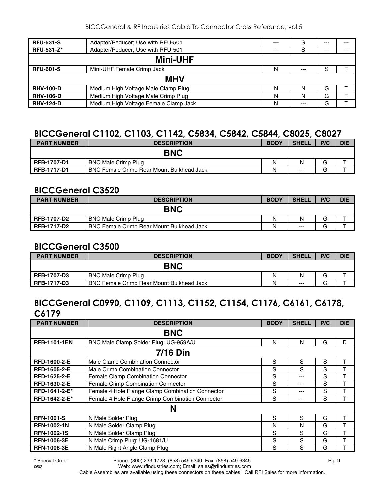BICCGeneral & RF Industries Cable To Connector Cross Reference, vol.5

| <b>RFU-531-S</b>  | Adapter/Reducer; Use with RFU-501     | $---$ | S     | $---$ | --- |  |  |
|-------------------|---------------------------------------|-------|-------|-------|-----|--|--|
| <b>RFU-531-Z*</b> | Adapter/Reducer; Use with RFU-501     | $---$ | S     | $---$ | --- |  |  |
| <b>Mini-UHF</b>   |                                       |       |       |       |     |  |  |
| <b>RFU-601-5</b>  | Mini-UHF Female Crimp Jack            | N     | $---$ | S     |     |  |  |
| <b>MHV</b>        |                                       |       |       |       |     |  |  |
| <b>RHV-100-D</b>  | Medium High Voltage Male Clamp Plug   | N     | N     | G     |     |  |  |
| <b>RHV-106-D</b>  | Medium High Voltage Male Crimp Plug   | N     | N     | G     |     |  |  |
| <b>RHV-124-D</b>  | Medium High Voltage Female Clamp Jack | N     | $---$ | G     |     |  |  |

#### **BICCGeneral C1102, C1103, C1142, C5834, C5842, C5844, C8025, C8027**

| <b>PART NUMBER</b> | <b>DESCRIPTION</b>                               | <b>BODY</b> | <b>SHELI</b> | P/C | <b>DIE</b> |
|--------------------|--------------------------------------------------|-------------|--------------|-----|------------|
|                    | <b>BNC</b>                                       |             |              |     |            |
| RFB-1707-D1        | <b>BNC Male Crimp Plug</b>                       | N           | N            | G   |            |
| <b>RFB-1717-D1</b> | <b>BNC Female Crimp Rear Mount Bulkhead Jack</b> | Ν           | $--$         | G   |            |

#### **BICCGeneral C3520**

| <b>PART NUMBER</b> | <b>DESCRIPTION</b>                               | <b>BODY</b> | <b>SHELL</b> | P/C | <b>DIE</b> |
|--------------------|--------------------------------------------------|-------------|--------------|-----|------------|
|                    | <b>BNC</b>                                       |             |              |     |            |
| <b>RFB-1707-D2</b> | <b>BNC Male Crimp Plug</b>                       | Ν           | N            | G   |            |
| RFB-1717-D2        | <b>BNC Female Crimp Rear Mount Bulkhead Jack</b> | Ν           | $---$        | ت   |            |

#### **BICCGeneral C3500**

| <b>PART NUMBER</b> | <b>DESCRIPTION</b>                               | <b>BODY</b> | <b>SHELL</b> | P/C | <b>DIE</b> |
|--------------------|--------------------------------------------------|-------------|--------------|-----|------------|
|                    | <b>BNC</b>                                       |             |              |     |            |
| <b>RFB-1707-D3</b> | <b>BNC Male Crimp Plug</b>                       | Ν           | N            | G   |            |
| <b>RFB-1717-D3</b> | <b>BNC Female Crimp Rear Mount Bulkhead Jack</b> | N           | $---$        | G   |            |

## **BICCGeneral C0990, C1109, C1113, C1152, C1154, C1176, C6161, C6178, C6179**

| <b>PART NUMBER</b>  | <b>DESCRIPTION</b>                               | <b>BODY</b> | <b>SHELL</b> | P/C | <b>DIE</b> |  |  |  |  |
|---------------------|--------------------------------------------------|-------------|--------------|-----|------------|--|--|--|--|
|                     | <b>BNC</b>                                       |             |              |     |            |  |  |  |  |
| <b>RFB-1101-1EN</b> | BNC Male Clamp Solder Plug; UG-959A/U            | N           | N            | G   | D          |  |  |  |  |
|                     | <b>7/16 Din</b>                                  |             |              |     |            |  |  |  |  |
| RFD-1600-2-E        | Male Clamp Combination Connector                 | S           | S            | S   | т          |  |  |  |  |
| <b>RFD-1605-2-E</b> | Male Crimp Combination Connector                 | S           | S            | S   |            |  |  |  |  |
| <b>RFD-1625-2-E</b> | Female Clamp Combination Connector               | S           | ---          | S   |            |  |  |  |  |
| RFD-1630-2-E        | Female Crimp Combination Connector               | S           | $---$        | S   | т          |  |  |  |  |
| RFD-1641-2-E*       | Female 4 Hole Flange Clamp Combination Connector | S           | $--$         | S   |            |  |  |  |  |
| RFD-1642-2-E*       | Female 4 Hole Flange Crimp Combination Connector | S           | ---          | S   |            |  |  |  |  |
|                     | N                                                |             |              |     |            |  |  |  |  |
| <b>RFN-1001-S</b>   | N Male Solder Plug                               | S           | S            | G   | т          |  |  |  |  |
| <b>RFN-1002-1N</b>  | N Male Solder Clamp Plug                         | N           | N            | G   |            |  |  |  |  |
| <b>RFN-1002-1S</b>  | N Male Solder Clamp Plug                         | S           | S            | G   |            |  |  |  |  |
| <b>RFN-1006-3E</b>  | N Male Crimp Plug; UG-1681/U                     | S           | S            | G   |            |  |  |  |  |
| <b>RFN-1008-3E</b>  | N Male Right Angle Clamp Plug                    | S           | S            | G   |            |  |  |  |  |

**\*** Special Order Phone: (800) 233-1728, (858) 549-6340; Fax: (858) 549-6345 Pg. 9 0602 Web: www.rfindustries.com; Email: sales@rfindustries.com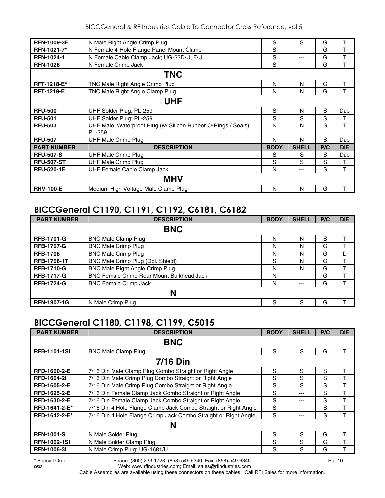| <b>RFN-1009-3E</b> | N Male Right Angle Crimp Plug                                  | S           | S            | G   |            |  |  |
|--------------------|----------------------------------------------------------------|-------------|--------------|-----|------------|--|--|
| RFN-1021-7*        | N Female 4-Hole Flange Panel Mount Clamp                       | S           | ---          | G   |            |  |  |
| <b>RFN-1024-1</b>  | N Female Cable Clamp Jack; UG-23D/U, F/U                       | S           | ---          | G   | т          |  |  |
| <b>RFN-1028</b>    | N Female Crimp Jack                                            | S           | ---          | G   | T          |  |  |
|                    | <b>TNC</b>                                                     |             |              |     |            |  |  |
| <b>RFT-1218-E*</b> | TNC Male Right Angle Crimp Plug                                | N           | N            | G   | т          |  |  |
| <b>RFT-1219-E</b>  | TNC Male Right Angle Clamp Plug                                | N           | N            | G   | T          |  |  |
| <b>UHF</b>         |                                                                |             |              |     |            |  |  |
| <b>RFU-500</b>     | UHF Solder Plug; PL-259                                        | S           | N            | S   | Dap        |  |  |
| <b>RFU-501</b>     | UHF Solder Plug; PL-259                                        | S           | S            | S   | т          |  |  |
| <b>RFU-503</b>     | UHF Male, Waterproof Plug (w/ Silicon Rubber O-Rings / Seals); | N           | N            | S   | T          |  |  |
|                    | PL-259                                                         |             |              |     |            |  |  |
| <b>RFU-507</b>     | <b>UHF Male Crimp Plug</b>                                     | N           | N            | S   | Dap        |  |  |
| <b>PART NUMBER</b> | <b>DESCRIPTION</b>                                             | <b>BODY</b> | <b>SHELL</b> | P/C | <b>DIE</b> |  |  |
| <b>RFU-507-S</b>   | <b>UHF Male Crimp Plug</b>                                     | S           | S            | S   | Dap        |  |  |
| <b>RFU-507-ST</b>  | <b>UHF Male Crimp Plug</b>                                     | S           | S            | S   | т          |  |  |
| <b>RFU-520-1E</b>  | <b>UHF Female Cable Clamp Jack</b>                             | N           | ---          | S   | т          |  |  |
|                    | <b>MHV</b>                                                     |             |              |     |            |  |  |
| <b>RHV-100-E</b>   | Medium High Voltage Male Clamp Plug                            | N           | N            | G   | т          |  |  |

#### **BICCGeneral C1190, C1191, C1192, C6181, C6182**

| <b>PART NUMBER</b> | <b>DESCRIPTION</b>                        | <b>BODY</b> | <b>SHELL</b> | P/C | <b>DIE</b> |
|--------------------|-------------------------------------------|-------------|--------------|-----|------------|
|                    | <b>BNC</b>                                |             |              |     |            |
| <b>RFB-1701-G</b>  | <b>BNC Male Clamp Plug</b>                | N           | N            | S   |            |
| <b>RFB-1707-G</b>  | <b>BNC Male Crimp Plug</b>                | N           | N            | G   |            |
| <b>RFB-1708</b>    | <b>BNC Male Crimp Plug</b>                | N           | N            | G   | D          |
| <b>RFB-1708-1T</b> | BNC Male Crimp Plug (Dbl. Shield)         | S           | N            | G   |            |
| <b>RFB-1710-G</b>  | <b>BNC Male Right Angle Crimp Plug</b>    | N           | N            | G   |            |
| <b>RFB-1717-G</b>  | BNC Female Crimp Rear Mount Bulkhead Jack | N           | $- - -$      | G   |            |
| <b>RFB-1724-G</b>  | <b>BNC Female Crimp Jack</b>              | N           | $---$        | G   |            |
|                    | N                                         |             |              |     |            |
| <b>RFN-1907-1G</b> | N Male Crimp Plug                         | S           | S            | G   |            |

#### **BICCGeneral C1180, C1198, C1199, C5015**

| S | S               | G |   |  |  |  |  |  |  |
|---|-----------------|---|---|--|--|--|--|--|--|
|   |                 |   |   |  |  |  |  |  |  |
|   |                 |   |   |  |  |  |  |  |  |
|   | <b>7/16 Din</b> |   |   |  |  |  |  |  |  |
| S | S               | S | т |  |  |  |  |  |  |
| S | S               | S | т |  |  |  |  |  |  |
| S | S               | S |   |  |  |  |  |  |  |
| S | ---             | S |   |  |  |  |  |  |  |
| S | ---             | S | т |  |  |  |  |  |  |
| S | ---             | S |   |  |  |  |  |  |  |
| S | ---             | S |   |  |  |  |  |  |  |
|   |                 |   |   |  |  |  |  |  |  |
| S | S               | G |   |  |  |  |  |  |  |
| S | S               | G |   |  |  |  |  |  |  |
| S | S               | G |   |  |  |  |  |  |  |
|   |                 |   |   |  |  |  |  |  |  |

**\*** Special Order Phone: (800) 233-1728, (858) 549-6340; Fax: (858) 549-6345 Pg. 10 Web: www.rfindustries.com; Email: sales@rfindustries.com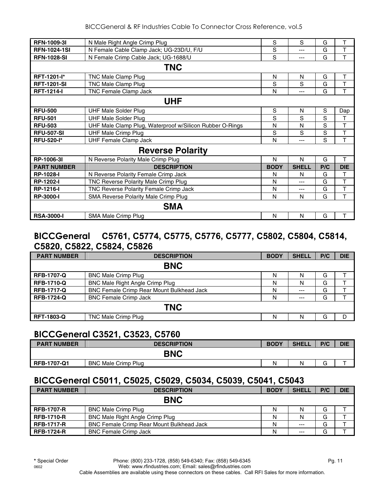| <b>RFN-1009-31</b>  | N Male Right Angle Crimp Plug                            | S           | S            | G   | т          |  |  |
|---------------------|----------------------------------------------------------|-------------|--------------|-----|------------|--|--|
| <b>RFN-1024-1SI</b> | N Female Cable Clamp Jack; UG-23D/U, F/U                 | S           | ---          | G   | T          |  |  |
| <b>RFN-1028-SI</b>  | N Female Crimp Cable Jack; UG-1688/U                     | S           | ---          | G   | T          |  |  |
|                     | <b>TNC</b>                                               |             |              |     |            |  |  |
| <b>RFT-1201-I*</b>  | TNC Male Clamp Plug                                      | N           | N            | G   | Т          |  |  |
| <b>RFT-1201-SI</b>  | TNC Male Clamp Plug                                      | S           | S            | G   | T          |  |  |
| <b>RFT-1214-I</b>   | <b>TNC Female Clamp Jack</b>                             | N           | ---          | G   | T          |  |  |
| <b>UHF</b>          |                                                          |             |              |     |            |  |  |
| <b>RFU-500</b>      | <b>UHF Male Solder Plug</b>                              | S           | N            | S   | Dap        |  |  |
| <b>RFU-501</b>      | <b>UHF Male Solder Plug</b>                              | S           | S            | S   | т          |  |  |
| <b>RFU-503</b>      | UHF Male Clamp Plug, Waterproof w/Silicon Rubber O-Rings | N           | N            | S   | T          |  |  |
| <b>RFU-507-SI</b>   | <b>UHF Male Crimp Plug</b>                               | S           | S            | S   | T          |  |  |
| <b>RFU-520-I*</b>   | <b>UHF Female Clamp Jack</b>                             | N           | ---          | S   | T          |  |  |
|                     | <b>Reverse Polarity</b>                                  |             |              |     |            |  |  |
| RP-1006-3I          | N Reverse Polarity Male Crimp Plug                       | N           | N            | G   | T          |  |  |
| <b>PART NUMBER</b>  | <b>DESCRIPTION</b>                                       | <b>BODY</b> | <b>SHELL</b> | P/C | <b>DIE</b> |  |  |
| <b>RP-1028-I</b>    | N Reverse Polarity Female Crimp Jack                     | N           | N            | G   | т          |  |  |
| <b>RP-1202-I</b>    | TNC Reverse Polarity Male Crimp Plug                     | N           | ---          | G   | T          |  |  |
| <b>RP-1216-I</b>    | TNC Reverse Polarity Female Crimp Jack                   | N           | ---          | G   | T          |  |  |
| <b>RP-3000-I</b>    | SMA Reverse Polarity Male Crimp Plug                     | N           | N            | G   | T          |  |  |
|                     | <b>SMA</b>                                               |             |              |     |            |  |  |
| <b>RSA-3000-I</b>   | SMA Male Crimp Plug                                      | N           | N            | G   |            |  |  |

#### **BICCGeneral C5761, C5774, C5775, C5776, C5777, C5802, C5804, C5814, C5820, C5822, C5824, C5826**

| <b>PART NUMBER</b> | <b>DESCRIPTION</b>                               | <b>BODY</b> | <b>SHELL</b> | P/C | <b>DIE</b> |  |  |  |
|--------------------|--------------------------------------------------|-------------|--------------|-----|------------|--|--|--|
|                    | <b>BNC</b>                                       |             |              |     |            |  |  |  |
| <b>RFB-1707-Q</b>  | <b>BNC Male Crimp Plug</b>                       | N           | N            | G   |            |  |  |  |
| <b>RFB-1710-Q</b>  | BNC Male Right Angle Crimp Plug                  | N           | N            | G   |            |  |  |  |
| <b>RFB-1717-Q</b>  | <b>BNC Female Crimp Rear Mount Bulkhead Jack</b> | N           | $---$        | G   |            |  |  |  |
| <b>RFB-1724-Q</b>  | <b>BNC Female Crimp Jack</b>                     | N           | $---$        | G   |            |  |  |  |
|                    | <b>TNC</b>                                       |             |              |     |            |  |  |  |
| <b>RFT-1803-Q</b>  | TNC Male Crimp Plug                              | N           | N            | G   | D          |  |  |  |

#### **BICCGeneral C3521, C3523, C5760**

| <b>PART NUMBER</b> | <b>DESCRIPTION</b>         | <b>BODY</b> | <b>SHELL</b> | P/C | <b>DIE</b> |
|--------------------|----------------------------|-------------|--------------|-----|------------|
|                    | <b>BNC</b>                 |             |              |     |            |
| <b>RFB-1707-Q1</b> | <b>BNC Male Crimp Plug</b> | Ν           | N            |     |            |

#### **BICCGeneral C5011, C5025, C5029, C5034, C5039, C5041, C5043**

| <b>PART NUMBER</b> | <b>DESCRIPTION</b>                               | <b>BODY</b> | <b>SHELL</b> | P/C | <b>DIE</b> |  |  |
|--------------------|--------------------------------------------------|-------------|--------------|-----|------------|--|--|
| <b>BNC</b>         |                                                  |             |              |     |            |  |  |
| <b>RFB-1707-R</b>  | <b>BNC Male Crimp Plug</b>                       | N           | Ν            | G   |            |  |  |
| <b>RFB-1710-R</b>  | <b>BNC Male Right Angle Crimp Plug</b>           | Ν           |              | G   |            |  |  |
| <b>RFB-1717-R</b>  | <b>BNC Female Crimp Rear Mount Bulkhead Jack</b> | Ν           | $---$        | G   |            |  |  |
| <b>RFB-1724-R</b>  | <b>BNC Female Crimp Jack</b>                     | Ν           | $---$        | G   |            |  |  |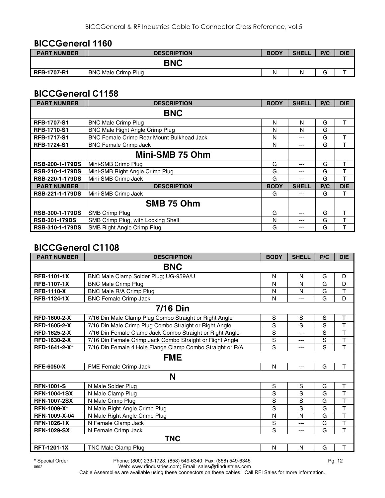#### **BICCGeneral 1160**

| <b>PART NUMBER</b> | <b>DESCRIPTION</b>         | <b>BODY</b> | <b>SHELL</b> | P/C    | <b>DIE</b> |
|--------------------|----------------------------|-------------|--------------|--------|------------|
|                    | <b>BNC</b>                 |             |              |        |            |
| <b>RFB-1707-R1</b> | <b>BNC Male Crimp Plug</b> | N           | N            | $\sim$ |            |

#### **BICCGeneral C1158**

| <b>PART NUMBER</b>     | <b>DESCRIPTION</b>                        | <b>BODY</b> | <b>SHELL</b> | P/C | <b>DIE</b> |  |
|------------------------|-------------------------------------------|-------------|--------------|-----|------------|--|
|                        | <b>BNC</b>                                |             |              |     |            |  |
| <b>RFB-1707-S1</b>     | <b>BNC Male Crimp Plug</b>                | N           | N            | G   | т          |  |
| <b>RFB-1710-S1</b>     | <b>BNC Male Right Angle Crimp Plug</b>    | N           | N            | G   |            |  |
| <b>RFB-1717-S1</b>     | BNC Female Crimp Rear Mount Bulkhead Jack | N           | ---          | G   | т          |  |
| <b>RFB-1724-S1</b>     | <b>BNC Female Crimp Jack</b>              | N           | ---          | G   | т          |  |
|                        | Mini-SMB 75 Ohm                           |             |              |     |            |  |
| RSB-200-1-179DS        | Mini-SMB Crimp Plug                       | G           | ---          | G   | т          |  |
| <b>RSB-210-1-179DS</b> | Mini-SMB Right Angle Crimp Plug           | G           | ---          | G   | т          |  |
| <b>RSB-220-1-179DS</b> | Mini-SMB Crimp Jack                       | G           | ---          | G   | т          |  |
| <b>PART NUMBER</b>     | <b>DESCRIPTION</b>                        | <b>BODY</b> | <b>SHELL</b> | P/C | <b>DIE</b> |  |
| RSB-221-1-179DS        | Mini-SMB Crimp Jack                       | G           | ---          | G   | т          |  |
|                        | SMB 75 Ohm                                |             |              |     |            |  |
| <b>RSB-300-1-179DS</b> | SMB Crimp Plug                            | G           | ---          | G   | т          |  |
| <b>RSB-301-179DS</b>   | SMB Crimp Plug, with Locking Shell        | N           | ---          | G   |            |  |
| <b>RSB-310-1-179DS</b> | SMB Right Angle Crimp Plug                | G           | ---          | G   |            |  |

#### **BICCGeneral C1108**

| <b>PART NUMBER</b>  | <b>DESCRIPTION</b>                                        | <b>BODY</b>    | <b>SHELL</b>   | P/C | <b>DIE</b>              |  |
|---------------------|-----------------------------------------------------------|----------------|----------------|-----|-------------------------|--|
| <b>BNC</b>          |                                                           |                |                |     |                         |  |
| <b>RFB-1101-1X</b>  | BNC Male Clamp Solder Plug; UG-959A/U                     | N              | N              | G   | D                       |  |
| <b>RFB-1107-1X</b>  | <b>BNC Male Crimp Plug</b>                                | N              | N              | G   | D                       |  |
| <b>RFB-1110-X</b>   | BNC Male R/A Crimp Plug                                   | N              | $\mathsf{N}$   | G   | T                       |  |
| <b>RFB-1124-1X</b>  | <b>BNC Female Crimp Jack</b>                              | N              | $---$          | G   | D                       |  |
|                     | <b>7/16 Din</b>                                           |                |                |     |                         |  |
| RFD-1600-2-X        | 7/16 Din Male Clamp Plug Combo Straight or Right Angle    | S              | S              | S   | T                       |  |
| <b>RFD-1605-2-X</b> | 7/16 Din Male Crimp Plug Combo Straight or Right Angle    | S              | S              | S   | T                       |  |
| <b>RFD-1625-2-X</b> | 7/16 Din Female Clamp Jack Combo Straight or Right Angle  | $\mathbf S$    | $---$          | S   | T                       |  |
| RFD-1630-2-X        | 7/16 Din Female Crimp Jack Combo Straight or Right Angle  | $\mathbf S$    | $---$          | S   | T                       |  |
| RFD-1641-2-X*       | 7/16 Din Female 4 Hole Flange Clamp Combo Straight or R/A | S              | ---            | S   | T                       |  |
| <b>FME</b>          |                                                           |                |                |     |                         |  |
| <b>RFE-6050-X</b>   | FME Female Crimp Jack                                     | N              | $---$          | G   | T                       |  |
| N                   |                                                           |                |                |     |                         |  |
| <b>RFN-1001-S</b>   | N Male Solder Plug                                        | S              | S              | G   | $\mathsf T$             |  |
| <b>RFN-1004-1SX</b> | N Male Clamp Plug                                         | $\mathbf S$    | S              | G   | T                       |  |
| <b>RFN-1007-2SX</b> | N Male Crimp Plug                                         | $\mathbf S$    | S              | G   | T                       |  |
| <b>RFN-1009-X*</b>  | N Male Right Angle Crimp Plug                             | $\overline{s}$ | $\overline{s}$ | G   | $\overline{\mathsf{T}}$ |  |
| RFN-1009-X-04       | N Male Right Angle Crimp Plug                             | N              | N              | G   | T                       |  |
| <b>RFN-1026-1X</b>  | N Female Clamp Jack                                       | $\mathbf S$    | $---$          | G   | T                       |  |
| <b>RFN-1029-SX</b>  | N Female Crimp Jack                                       | S              | ---            | G   | T                       |  |
| <b>TNC</b>          |                                                           |                |                |     |                         |  |
| <b>RFT-1201-1X</b>  | TNC Male Clamp Plug                                       | N              | N              | G   | Τ                       |  |

**\*** Special Order Phone: (800) 233-1728, (858) 549-6340; Fax: (858) 549-6345 Pg. 12 Web: www.rfindustries.com; Email: sales@rfindustries.com